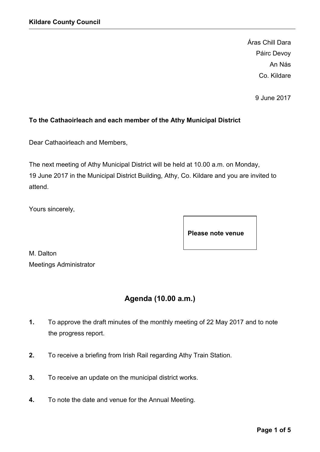Áras Chill Dara Páirc Devoy An Nás Co. Kildare

9 June 2017

### To the Cathaoirleach and each member of the Athy Municipal District

Dear Cathaoirleach and Members,

The next meeting of Athy Municipal District will be held at 10.00 a.m. on Monday, 19 June 2017 in the Municipal District Building, Athy, Co. Kildare and you are invited to attend.

Yours sincerely,

Please note venue

M. Dalton Meetings Administrator

# Agenda (10.00 a.m.)

- 1. To approve the draft minutes of the monthly meeting of 22 May 2017 and to note the progress report.
- 2. To receive a briefing from Irish Rail regarding Athy Train Station.
- 3. To receive an update on the municipal district works.
- 4. To note the date and venue for the Annual Meeting.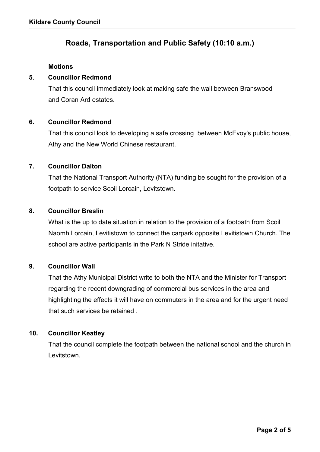## Roads, Transportation and Public Safety (10:10 a.m.)

#### **Motions**

#### 5. Councillor Redmond

That this council immediately look at making safe the wall between Branswood and Coran Ard estates.

#### 6. Councillor Redmond

That this council look to developing a safe crossing between McEvoy's public house, Athy and the New World Chinese restaurant.

### 7. Councillor Dalton

That the National Transport Authority (NTA) funding be sought for the provision of a footpath to service Scoil Lorcain, Levitstown.

### 8. Councillor Breslin

What is the up to date situation in relation to the provision of a footpath from Scoil Naomh Lorcain, Levitistown to connect the carpark opposite Levitistown Church. The school are active participants in the Park N Stride initative.

### 9. Councillor Wall

That the Athy Municipal District write to both the NTA and the Minister for Transport regarding the recent downgrading of commercial bus services in the area and highlighting the effects it will have on commuters in the area and for the urgent need that such services be retained .

### 10. Councillor Keatley

That the council complete the footpath between the national school and the church in Levitstown.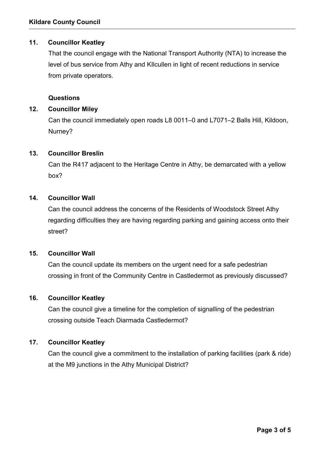### 11. Councillor Keatley

That the council engage with the National Transport Authority (NTA) to increase the level of bus service from Athy and KIlcullen in light of recent reductions in service from private operators.

#### Questions

### 12. Councillor Miley

Can the council immediately open roads L8 0011–0 and L7071–2 Balls Hill, Kildoon, Nurney?

### 13. Councillor Breslin

Can the R417 adjacent to the Heritage Centre in Athy, be demarcated with a yellow box?

### 14. Councillor Wall

Can the council address the concerns of the Residents of Woodstock Street Athy regarding difficulties they are having regarding parking and gaining access onto their street?

#### 15. Councillor Wall

Can the council update its members on the urgent need for a safe pedestrian crossing in front of the Community Centre in Castledermot as previously discussed?

### 16. Councillor Keatley

Can the council give a timeline for the completion of signalling of the pedestrian crossing outside Teach Diarmada Castledermot?

### 17. Councillor Keatley

Can the council give a commitment to the installation of parking facilities (park & ride) at the M9 junctions in the Athy Municipal District?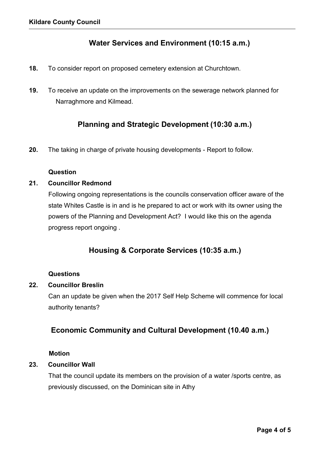## Water Services and Environment (10:15 a.m.)

- 18. To consider report on proposed cemetery extension at Churchtown.
- 19. To receive an update on the improvements on the sewerage network planned for Narraghmore and Kilmead.

## Planning and Strategic Development (10:30 a.m.)

20. The taking in charge of private housing developments - Report to follow.

#### Question

### 21. Councillor Redmond

Following ongoing representations is the councils conservation officer aware of the state Whites Castle is in and is he prepared to act or work with its owner using the powers of the Planning and Development Act? I would like this on the agenda progress report ongoing .

## Housing & Corporate Services (10:35 a.m.)

#### **Questions**

### 22. Councillor Breslin

Can an update be given when the 2017 Self Help Scheme will commence for local authority tenants?

## Economic Community and Cultural Development (10.40 a.m.)

#### Motion

### 23. Councillor Wall

That the council update its members on the provision of a water /sports centre, as previously discussed, on the Dominican site in Athy